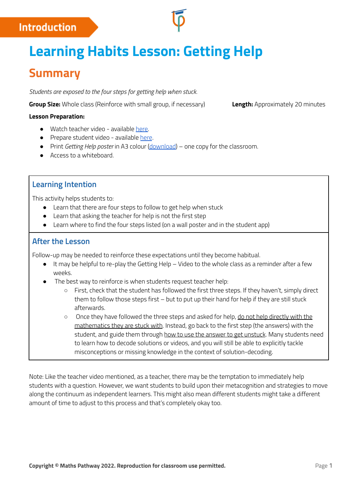## **Introduction**

# **Learning Habits Lesson: Getting Help**

# **Summary**

*Students are exposed to the four steps for getting help when stuck.*

**Group Size:** Whole class (Reinforce with small group, if necessary) **Length:** Approximately 20 minutes

#### **Lesson Preparation:**

- Watch teacher video available [here.](https://www.youtube.com/watch?v=_d64P5A4ASU)
- Prepare student video available [here](https://mpcontent.blob.core.windows.net/training-resources/first-four-weeks/MSB-StudentGettingHelp_2022Update_Edit01_720p.mp4).
- Print *Getting Help poster* in A3 colour [\(download\)](https://help.mathspathway.com/hc/en-us/article_attachments/360050534053/Poster_-_Getting_Help.pdf) one copy for the classroom.
- Access to a whiteboard

## **Learning Intention**

This activity helps students to:

- Learn that there are four steps to follow to get help when stuck
- Learn that asking the teacher for help is not the first step
- Learn where to find the four steps listed (on a wall poster and in the student app)

### **After the Lesson**

Follow-up may be needed to reinforce these expectations until they become habitual.

- $\bullet$  It may be helpful to re-play the Getting Help Video to the whole class as a reminder after a few weeks.
- The best way to reinforce is when students request teacher help:
	- First, check that the student has followed the first three steps. If they haven't, simply direct them to follow those steps first – but to put up their hand for help if they are still stuck afterwards.
	- Once they have followed the three steps and asked for help, do not help directly with the mathematics they are stuck with. Instead, go back to the first step (the answers) with the student, and guide them through how to use the answer to get unstuck. Many students need to learn how to decode solutions or videos, and you will still be able to explicitly tackle misconceptions or missing knowledge in the context of solution-decoding.

Note: Like the teacher video mentioned, as a teacher, there may be the temptation to immediately help students with a question. However, we want students to build upon their metacognition and strategies to move along the continuum as independent learners. This might also mean different students might take a different amount of time to adjust to this process and that's completely okay too.